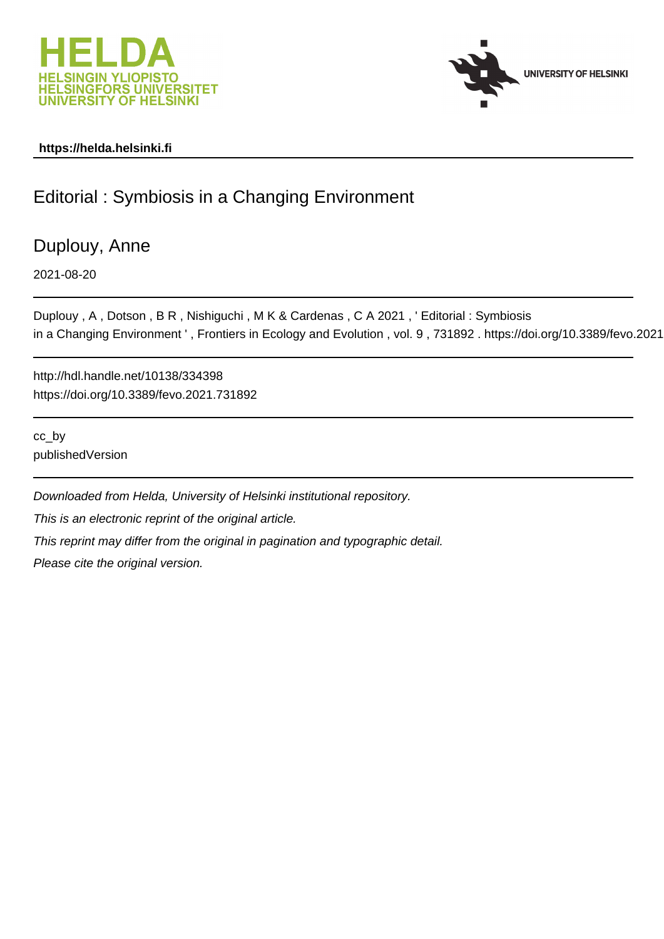



## **https://helda.helsinki.fi**

## Editorial : Symbiosis in a Changing Environment

Duplouy, Anne

2021-08-20

Duplouy , A , Dotson , B R , Nishiguchi , M K & Cardenas , C A 2021 , ' Editorial : Symbiosis in a Changing Environment ', Frontiers in Ecology and Evolution, vol. 9, 731892. https://doi.org/10.3389/fevo.2021

http://hdl.handle.net/10138/334398 https://doi.org/10.3389/fevo.2021.731892

cc\_by publishedVersion

Downloaded from Helda, University of Helsinki institutional repository. This is an electronic reprint of the original article. This reprint may differ from the original in pagination and typographic detail. Please cite the original version.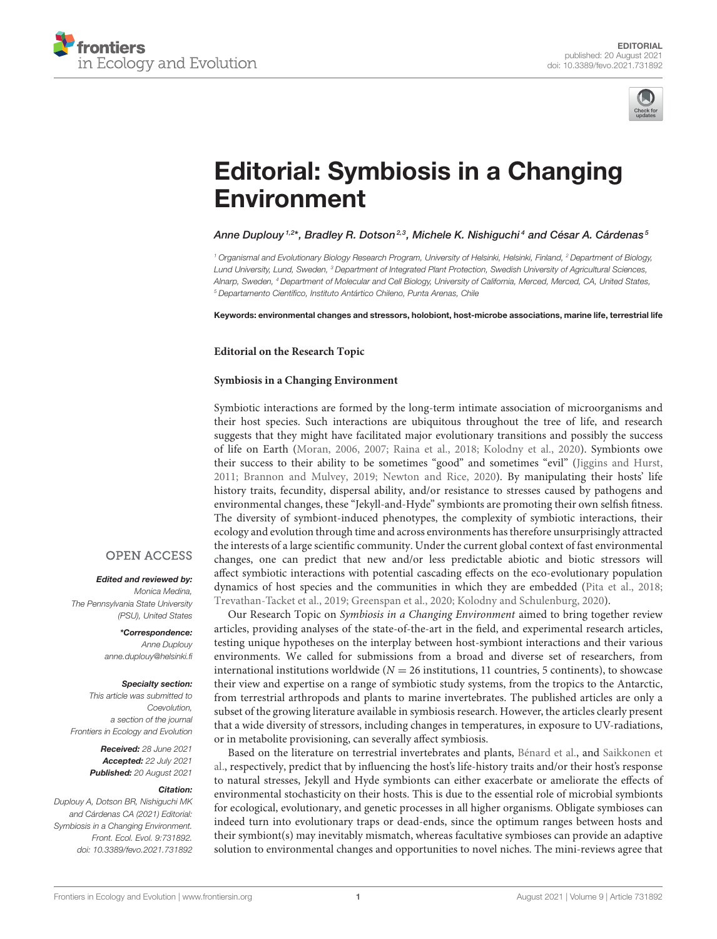



# [Editorial: Symbiosis in a Changing](https://www.frontiersin.org/articles/10.3389/fevo.2021.731892/full) Environment

#### Anne Duplouy <sup>1,2</sup>\*, Bradley R. Dotson<sup>2,3</sup>, Michele K. Nishiguchi<sup>4</sup> and César A. Cárdenas <sup>s</sup>

<sup>1</sup> Organismal and Evolutionary Biology Research Program, University of Helsinki, Helsinki, Finland, <sup>2</sup> Department of Biology, Lund University, Lund, Sweden, <sup>3</sup> Department of Integrated Plant Protection, Swedish University of Agricultural Sciences, Alnarp, Sweden, <sup>4</sup> Department of Molecular and Cell Biology, University of California, Merced, Merced, CA, United States, <sup>5</sup> Departamento Científico, Instituto Antártico Chileno, Punta Arenas, Chile

Keywords: environmental changes and stressors, holobiont, host-microbe associations, marine life, terrestrial life

#### **Editorial on the Research Topic**

#### **[Symbiosis in a Changing Environment](https://www.frontiersin.org/research-topics/10551/symbiosis-in-a-changing-environment)**

Symbiotic interactions are formed by the long-term intimate association of microorganisms and their host species. Such interactions are ubiquitous throughout the tree of life, and research suggests that they might have facilitated major evolutionary transitions and possibly the success of life on Earth (Moran, 2006, 2007; Raina et al., 2018; Kolodny et al., 2020). Symbionts owe their success to their ability to be sometimes "good" and sometimes "evil" (Jiggins and Hurst, 2011; Brannon and Mulvey, 2019; Newton and Rice, 2020). By manipulating their hosts' life history traits, fecundity, dispersal ability, and/or resistance to stresses caused by pathogens and environmental changes, these "Jekyll-and-Hyde" symbionts are promoting their own selfish fitness. The diversity of symbiont-induced phenotypes, the complexity of symbiotic interactions, their ecology and evolution through time and across environments has therefore unsurprisingly attracted the interests of a large scientific community. Under the current global context of fast environmental changes, one can predict that new and/or less predictable abiotic and biotic stressors will affect symbiotic interactions with potential cascading effects on the eco-evolutionary population dynamics of host species and the communities in which they are embedded (Pita et al., 2018; Trevathan-Tacket et al., 2019; Greenspan et al., 2020; Kolodny and Schulenburg, 2020).

Our Research Topic on Symbiosis in a Changing Environment aimed to bring together review articles, providing analyses of the state-of-the-art in the field, and experimental research articles, testing unique hypotheses on the interplay between host-symbiont interactions and their various environments. We called for submissions from a broad and diverse set of researchers, from international institutions worldwide ( $N = 26$  institutions, 11 countries, 5 continents), to showcase their view and expertise on a range of symbiotic study systems, from the tropics to the Antarctic, from terrestrial arthropods and plants to marine invertebrates. The published articles are only a subset of the growing literature available in symbiosis research. However, the articles clearly present that a wide diversity of stressors, including changes in temperatures, in exposure to UV-radiations, or in metabolite provisioning, can severally affect symbiosis.

Based on the literature on terrestrial invertebrates and plants, [Bénard et al.,](https://doi.org/10.3389/fevo.2020.00167) and Saikkonen et [al., respectively, predict that by influencing the host's life-history traits and/or their host's response](https://doi.org/10.3389/fevo.2020.00061) to natural stresses, Jekyll and Hyde symbionts can either exacerbate or ameliorate the effects of environmental stochasticity on their hosts. This is due to the essential role of microbial symbionts for ecological, evolutionary, and genetic processes in all higher organisms. Obligate symbioses can indeed turn into evolutionary traps or dead-ends, since the optimum ranges between hosts and their symbiont(s) may inevitably mismatch, whereas facultative symbioses can provide an adaptive solution to environmental changes and opportunities to novel niches. The mini-reviews agree that

### **OPEN ACCESS**

#### Edited and reviewed by:

Monica Medina, The Pennsylvania State University (PSU), United States

> \*Correspondence: Anne Duplouy [anne.duplouy@helsinki.fi](mailto:anne.duplouy@helsinki.fi)

#### Specialty section:

This article was submitted to Coevolution, a section of the journal Frontiers in Ecology and Evolution

> Received: 28 June 2021 Accepted: 22 July 2021 Published: 20 August 2021

#### Citation:

Duplouy A, Dotson BR, Nishiguchi MK and Cárdenas CA (2021) Editorial: Symbiosis in a Changing Environment. Front. Ecol. Evol. 9:731892. doi: [10.3389/fevo.2021.731892](https://doi.org/10.3389/fevo.2021.731892)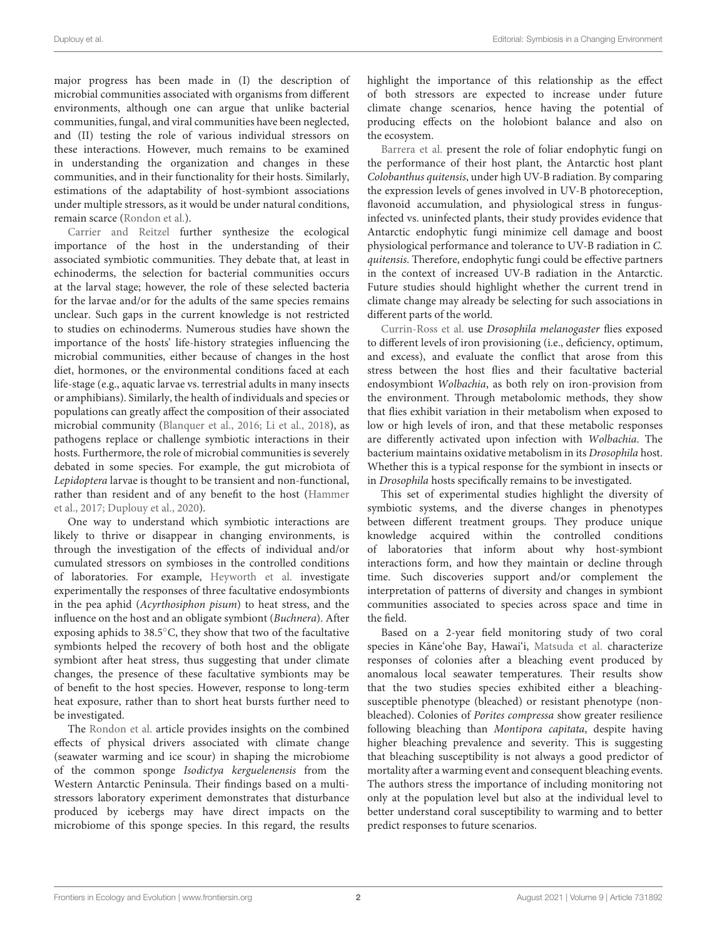major progress has been made in (I) the description of microbial communities associated with organisms from different environments, although one can argue that unlike bacterial communities, fungal, and viral communities have been neglected, and (II) testing the role of various individual stressors on these interactions. However, much remains to be examined in understanding the organization and changes in these communities, and in their functionality for their hosts. Similarly, estimations of the adaptability of host-symbiont associations under multiple stressors, as it would be under natural conditions, remain scarce [\(Rondon et al.\)](https://doi.org/10.3389/fevo.2020.00262).

[Carrier and Reitzel](https://doi.org/10.3389/fevo.2019.00509) further synthesize the ecological importance of the host in the understanding of their associated symbiotic communities. They debate that, at least in echinoderms, the selection for bacterial communities occurs at the larval stage; however, the role of these selected bacteria for the larvae and/or for the adults of the same species remains unclear. Such gaps in the current knowledge is not restricted to studies on echinoderms. Numerous studies have shown the importance of the hosts' life-history strategies influencing the microbial communities, either because of changes in the host diet, hormones, or the environmental conditions faced at each life-stage (e.g., aquatic larvae vs. terrestrial adults in many insects or amphibians). Similarly, the health of individuals and species or populations can greatly affect the composition of their associated microbial community (Blanquer et al., 2016; Li et al., 2018), as pathogens replace or challenge symbiotic interactions in their hosts. Furthermore, the role of microbial communities is severely debated in some species. For example, the gut microbiota of Lepidoptera larvae is thought to be transient and non-functional, rather than resident and of any benefit to the host (Hammer et al., 2017; Duplouy et al., 2020).

One way to understand which symbiotic interactions are likely to thrive or disappear in changing environments, is through the investigation of the effects of individual and/or cumulated stressors on symbioses in the controlled conditions of laboratories. For example, [Heyworth et al.](https://doi.org/10.3389/fevo.2020.00056) investigate experimentally the responses of three facultative endosymbionts in the pea aphid (Acyrthosiphon pisum) to heat stress, and the influence on the host and an obligate symbiont (Buchnera). After exposing aphids to 38.5◦C, they show that two of the facultative symbionts helped the recovery of both host and the obligate symbiont after heat stress, thus suggesting that under climate changes, the presence of these facultative symbionts may be of benefit to the host species. However, response to long-term heat exposure, rather than to short heat bursts further need to be investigated.

The [Rondon et al.](https://doi.org/10.3389/fevo.2020.00262) article provides insights on the combined effects of physical drivers associated with climate change (seawater warming and ice scour) in shaping the microbiome of the common sponge Isodictya kerguelenensis from the Western Antarctic Peninsula. Their findings based on a multistressors laboratory experiment demonstrates that disturbance produced by icebergs may have direct impacts on the microbiome of this sponge species. In this regard, the results highlight the importance of this relationship as the effect of both stressors are expected to increase under future climate change scenarios, hence having the potential of producing effects on the holobiont balance and also on the ecosystem.

[Barrera et al.](https://doi.org/10.3389/fevo.2020.00122) present the role of foliar endophytic fungi on the performance of their host plant, the Antarctic host plant Colobanthus quitensis, under high UV-B radiation. By comparing the expression levels of genes involved in UV-B photoreception, flavonoid accumulation, and physiological stress in fungusinfected vs. uninfected plants, their study provides evidence that Antarctic endophytic fungi minimize cell damage and boost physiological performance and tolerance to UV-B radiation in C. quitensis. Therefore, endophytic fungi could be effective partners in the context of increased UV-B radiation in the Antarctic. Future studies should highlight whether the current trend in climate change may already be selecting for such associations in different parts of the world.

[Currin-Ross et al.](https://doi.org/10.3389/fevo.2021.623561) use Drosophila melanogaster flies exposed to different levels of iron provisioning (i.e., deficiency, optimum, and excess), and evaluate the conflict that arose from this stress between the host flies and their facultative bacterial endosymbiont Wolbachia, as both rely on iron-provision from the environment. Through metabolomic methods, they show that flies exhibit variation in their metabolism when exposed to low or high levels of iron, and that these metabolic responses are differently activated upon infection with Wolbachia. The bacterium maintains oxidative metabolism in its Drosophila host. Whether this is a typical response for the symbiont in insects or in Drosophila hosts specifically remains to be investigated.

This set of experimental studies highlight the diversity of symbiotic systems, and the diverse changes in phenotypes between different treatment groups. They produce unique knowledge acquired within the controlled conditions of laboratories that inform about why host-symbiont interactions form, and how they maintain or decline through time. Such discoveries support and/or complement the interpretation of patterns of diversity and changes in symbiont communities associated to species across space and time in the field.

Based on a 2-year field monitoring study of two coral species in Kāne'ohe Bay, Hawai'i, [Matsuda et al.](https://doi.org/10.3389/fevo.2020.00178) characterize responses of colonies after a bleaching event produced by anomalous local seawater temperatures. Their results show that the two studies species exhibited either a bleachingsusceptible phenotype (bleached) or resistant phenotype (nonbleached). Colonies of Porites compressa show greater resilience following bleaching than Montipora capitata, despite having higher bleaching prevalence and severity. This is suggesting that bleaching susceptibility is not always a good predictor of mortality after a warming event and consequent bleaching events. The authors stress the importance of including monitoring not only at the population level but also at the individual level to better understand coral susceptibility to warming and to better predict responses to future scenarios.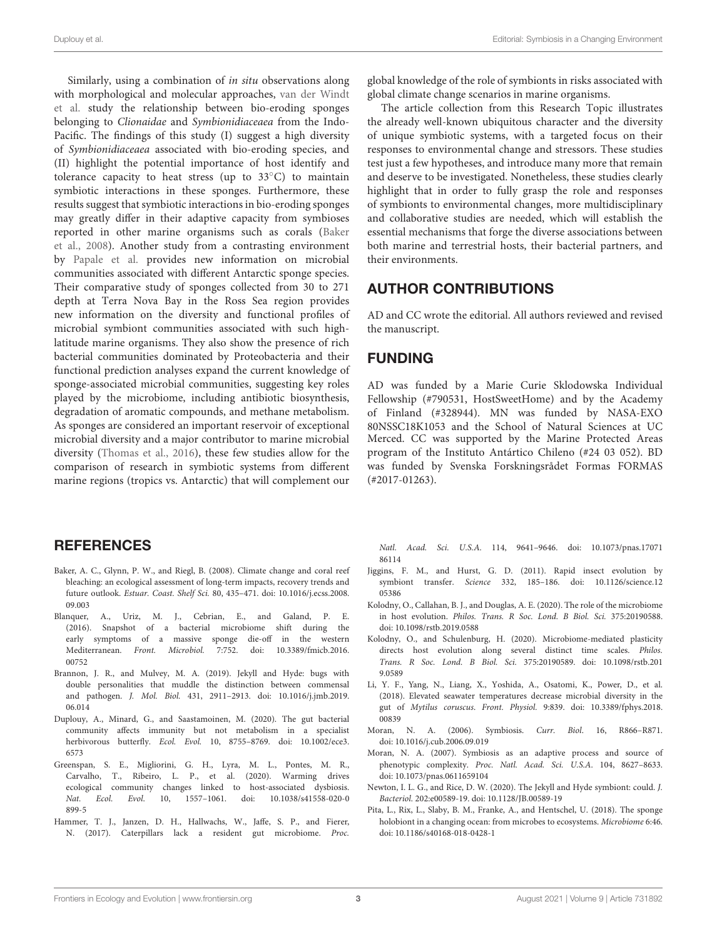Similarly, using a combination of in situ observations along with morphological and molecular approaches, van der Windt et al. [study the relationship between bio-eroding sponges](https://doi.org/10.3389/fevo.2020.595452) belonging to Clionaidae and Symbionidiaceaea from the Indo-Pacific. The findings of this study (I) suggest a high diversity of Symbionidiaceaea associated with bio-eroding species, and (II) highlight the potential importance of host identify and tolerance capacity to heat stress (up to 33◦C) to maintain symbiotic interactions in these sponges. Furthermore, these results suggest that symbiotic interactions in bio-eroding sponges may greatly differ in their adaptive capacity from symbioses reported in other marine organisms such as corals (Baker et al., 2008). Another study from a contrasting environment by [Papale et al.](https://doi.org/10.3389/fevo.2020.00268) provides new information on microbial communities associated with different Antarctic sponge species. Their comparative study of sponges collected from 30 to 271 depth at Terra Nova Bay in the Ross Sea region provides new information on the diversity and functional profiles of microbial symbiont communities associated with such highlatitude marine organisms. They also show the presence of rich bacterial communities dominated by Proteobacteria and their functional prediction analyses expand the current knowledge of sponge-associated microbial communities, suggesting key roles played by the microbiome, including antibiotic biosynthesis, degradation of aromatic compounds, and methane metabolism. As sponges are considered an important reservoir of exceptional microbial diversity and a major contributor to marine microbial diversity (Thomas et al., 2016), these few studies allow for the comparison of research in symbiotic systems from different marine regions (tropics vs. Antarctic) that will complement our

#### global knowledge of the role of symbionts in risks associated with global climate change scenarios in marine organisms.

The article collection from this Research Topic illustrates the already well-known ubiquitous character and the diversity of unique symbiotic systems, with a targeted focus on their responses to environmental change and stressors. These studies test just a few hypotheses, and introduce many more that remain and deserve to be investigated. Nonetheless, these studies clearly highlight that in order to fully grasp the role and responses of symbionts to environmental changes, more multidisciplinary and collaborative studies are needed, which will establish the essential mechanisms that forge the diverse associations between both marine and terrestrial hosts, their bacterial partners, and their environments.

## AUTHOR CONTRIBUTIONS

AD and CC wrote the editorial. All authors reviewed and revised the manuscript.

## FUNDING

AD was funded by a Marie Curie Sklodowska Individual Fellowship (#790531, HostSweetHome) and by the Academy of Finland (#328944). MN was funded by NASA-EXO 80NSSC18K1053 and the School of Natural Sciences at UC Merced. CC was supported by the Marine Protected Areas program of the Instituto Antártico Chileno (#24 03 052). BD was funded by Svenska Forskningsrådet Formas FORMAS (#2017-01263).

## **REFERENCES**

- Baker, A. C., Glynn, P. W., and Riegl, B. (2008). Climate change and coral reef bleaching: an ecological assessment of long-term impacts, recovery trends and future outlook. Estuar. Coast. Shelf Sci. [80, 435–471. doi: 10.1016/j.ecss.2008.](https://doi.org/10.1016/j.ecss.2008.09.003) 09.003
- Blanquer, A., Uriz, M. J., Cebrian, E., and Galand, P. E. (2016). Snapshot of a bacterial microbiome shift during the early symptoms of a massive sponge die-off in the western Mediterranean. Front. Microbiol. [7:752. doi: 10.3389/fmicb.2016.](https://doi.org/10.3389/fmicb.2016.00752) 00752
- Brannon, J. R., and Mulvey, M. A. (2019). Jekyll and Hyde: bugs with double personalities that muddle the distinction between commensal and pathogen. J. Mol. Biol. [431, 2911–2913. doi: 10.1016/j.jmb.2019.](https://doi.org/10.1016/j.jmb.2019.06.014) 06.014
- Duplouy, A., Minard, G., and Saastamoinen, M. (2020). The gut bacterial community affects immunity but not metabolism in a specialist herbivorous butterfly. Ecol. Evol. [10, 8755–8769. doi: 10.1002/ece3.](https://doi.org/10.1002/ece3.6573) 6573
- Greenspan, S. E., Migliorini, G. H., Lyra, M. L., Pontes, M. R., Carvalho, T., Ribeiro, L. P., et al. (2020). Warming drives ecological community changes linked to host-associated dysbiosis. Nat. Ecol. Evol[. 10, 1557–1061. doi: 10.1038/s41558-020-0](https://doi.org/10.1038/s41558-020-0899-5) 899-5
- Hammer, T. J., Janzen, D. H., Hallwachs, W., Jaffe, S. P., and Fierer, N. (2017). Caterpillars lack a resident gut microbiome. Proc.

Natl. Acad. Sci. U.S.A. [114, 9641–9646. doi: 10.1073/pnas.17071](https://doi.org/10.1073/pnas.1707186114) 86114

- Jiggins, F. M., and Hurst, G. D. (2011). Rapid insect evolution by symbiont transfer. Science [332, 185–186. doi: 10.1126/science.12](https://doi.org/10.1126/science.1205386) 05386
- Kolodny, O., Callahan, B. J., and Douglas, A. E. (2020). The role of the microbiome in host evolution. Philos. Trans. R Soc. Lond. B Biol. Sci. 375:20190588. doi: [10.1098/rstb.2019.0588](https://doi.org/10.1098/rstb.2019.0588)
- Kolodny, O., and Schulenburg, H. (2020). Microbiome-mediated plasticity directs host evolution along several distinct time scales. Philos. Trans. R Soc. Lond. B Biol. Sci. [375:20190589. doi: 10.1098/rstb.201](https://doi.org/10.1098/rstb.2019.0589) 9.0589
- Li, Y. F., Yang, N., Liang, X., Yoshida, A., Osatomi, K., Power, D., et al. (2018). Elevated seawater temperatures decrease microbial diversity in the gut of Mytilus coruscus. Front. Physiol. [9:839. doi: 10.3389/fphys.2018.](https://doi.org/10.3389/fphys.2018.00839) 00839
- Moran, N. A. (2006). Symbiosis. Curr. Biol. 16, R866–R871. doi: [10.1016/j.cub.2006.09.019](https://doi.org/10.1016/j.cub.2006.09.019)
- Moran, N. A. (2007). Symbiosis as an adaptive process and source of phenotypic complexity. Proc. Natl. Acad. Sci. U.S.A. 104, 8627–8633. doi: [10.1073/pnas.0611659104](https://doi.org/10.1073/pnas.0611659104)
- Newton, I. L. G., and Rice, D. W. (2020). The Jekyll and Hyde symbiont: could. J. Bacteriol. 202:e00589-19. doi: [10.1128/JB.00589-19](https://doi.org/10.1128/JB.00589-19)
- Pita, L., Rix, L., Slaby, B. M., Franke, A., and Hentschel, U. (2018). The sponge holobiont in a changing ocean: from microbes to ecosystems. Microbiome 6:46. doi: [10.1186/s40168-018-0428-1](https://doi.org/10.1186/s40168-018-0428-1)